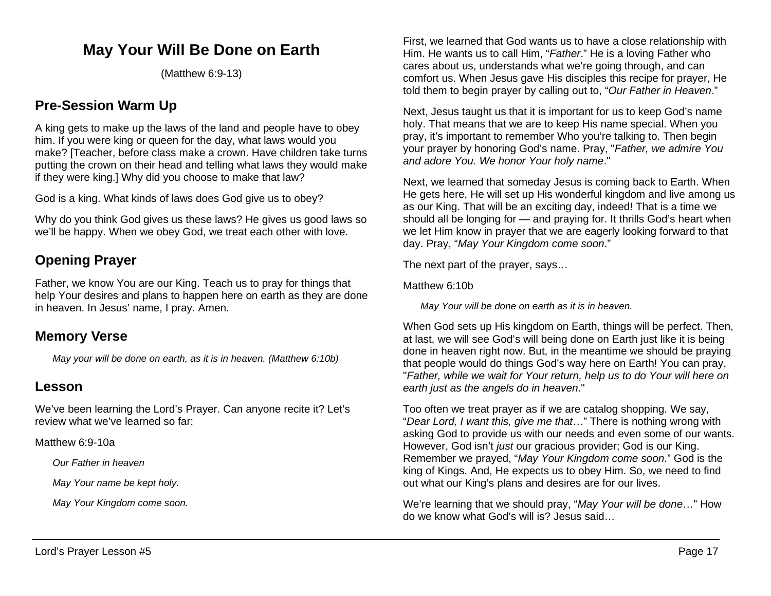## **May Your Will Be Done on Earth**

(Matthew 6:9-13)

## **Pre-Session Warm Up**

A king gets to make up the laws of the land and people have to obey him. If you were king or queen for the day, what laws would you make? [Teacher, before class make a crown. Have children take turns putting the crown on their head and telling what laws they would make if they were king.] Why did you choose to make that law?

God is a king. What kinds of laws does God give us to obey?

Why do you think God gives us these laws? He gives us good laws so we'll be happy. When we obey God, we treat each other with love.

## **Opening Prayer**

Father, we know You are our King. Teach us to pray for things that help Your desires and plans to happen here on earth as they are done in heaven. In Jesus' name, I pray. Amen.

## **Memory Verse**

*May your will be done on earth, as it is in heaven. (Matthew 6:10b)*

### **Lesson**

We've been learning the Lord's Prayer. Can anyone recite it? Let's review what we've learned so far:

Matthew 6:9-10a

*Our Father in heaven*

*May Your name be kept holy.*

*May Your Kingdom come soon.*

First, we learned that God wants us to have a close relationship with Him. He wants us to call Him, "*Father*." He is a loving Father who cares about us, understands what we're going through, and can comfort us. When Jesus gave His disciples this recipe for prayer, He told them to begin prayer by calling out to, "*Our Father in Heaven*."

Next, Jesus taught us that it is important for us to keep God's name holy. That means that we are to keep His name special. When you pray, it's important to remember Who you're talking to. Then begin your prayer by honoring God's name. Pray, "*Father, we admire You and adore You. We honor Your holy name*."

Next, we learned that someday Jesus is coming back to Earth. When He gets here, He will set up His wonderful kingdom and live among us as our King. That will be an exciting day, indeed! That is a time we should all be longing for — and praying for. It thrills God's heart when we let Him know in prayer that we are eagerly looking forward to that day. Pray, "*May Your Kingdom come soon*."

The next part of the prayer, says…

Matthew 6:10b

*May Your will be done on earth as it is in heaven.*

When God sets up His kingdom on Earth, things will be perfect. Then, at last, we will see God's will being done on Earth just like it is being done in heaven right now. But, in the meantime we should be praying that people would do things God's way here on Earth! You can pray, "*Father, while we wait for Your return, help us to do Your will here on earth just as the angels do in heaven*."

Too often we treat prayer as if we are catalog shopping. We say, "*Dear Lord, I want this, give me that*…" There is nothing wrong with asking God to provide us with our needs and even some of our wants. However, God isn't *just* our gracious provider; God is our King. Remember we prayed, "*May Your Kingdom come soon*." God is the king of Kings. And, He expects us to obey Him. So, we need to find out what our King's plans and desires are for our lives.

We're learning that we should pray, "*May Your will be done*…" How do we know what God's will is? Jesus said…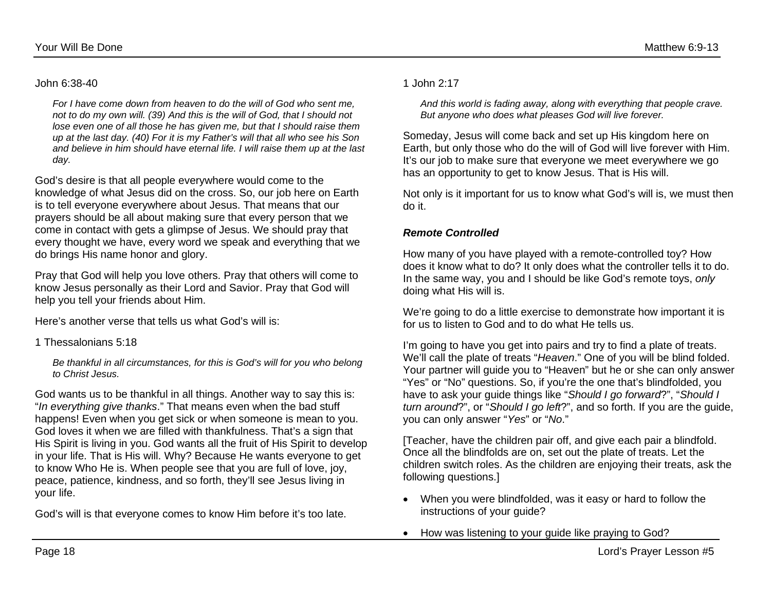*For I have come down from heaven to do the will of God who sent me, not to do my own will. (39) And this is the will of God, that I should not lose even one of all those he has given me, but that I should raise them up at the last day. (40) For it is my Father's will that all who see his Son and believe in him should have eternal life. I will raise them up at the last day.*

God's desire is that all people everywhere would come to the knowledge of what Jesus did on the cross. So, our job here on Earth is to tell everyone everywhere about Jesus. That means that our prayers should be all about making sure that every person that we come in contact with gets a glimpse of Jesus. We should pray that every thought we have, every word we speak and everything that we do brings His name honor and glory.

Pray that God will help you love others. Pray that others will come to know Jesus personally as their Lord and Savior. Pray that God will help you tell your friends about Him.

Here's another verse that tells us what God's will is:

1 Thessalonians 5:18

*Be thankful in all circumstances, for this is God's will for you who belong to Christ Jesus.*

God wants us to be thankful in all things. Another way to say this is: "*In everything give thanks*." That means even when the bad stuff happens! Even when you get sick or when someone is mean to you. God loves it when we are filled with thankfulness. That's a sign that His Spirit is living in you. God wants all the fruit of His Spirit to develop in your life. That is His will. Why? Because He wants everyone to get to know Who He is. When people see that you are full of love, joy, peace, patience, kindness, and so forth, they'll see Jesus living in your life.

God's will is that everyone comes to know Him before it's too late.

*And this world is fading away, along with everything that people crave. But anyone who does what pleases God will live forever.*

Someday, Jesus will come back and set up His kingdom here on Earth, but only those who do the will of God will live forever with Him. It's our job to make sure that everyone we meet everywhere we go has an opportunity to get to know Jesus. That is His will.

Not only is it important for us to know what God's will is, we must then do it.

#### *Remote Controlled*

How many of you have played with a remote-controlled toy? How does it know what to do? It only does what the controller tells it to do. In the same way, you and I should be like God's remote toys, *only* doing what His will is.

We're going to do a little exercise to demonstrate how important it is for us to listen to God and to do what He tells us.

I'm going to have you get into pairs and try to find a plate of treats. We'll call the plate of treats "*Heaven*." One of you will be blind folded. Your partner will guide you to "Heaven" but he or she can only answer "Yes" or "No" questions. So, if you're the one that's blindfolded, you have to ask your guide things like "*Should I go forward*?", "*Should I turn around*?", or "*Should I go left*?", and so forth. If you are the guide, you can only answer "*Yes*" or "*No*."

[Teacher, have the children pair off, and give each pair a blindfold. Once all the blindfolds are on, set out the plate of treats. Let the children switch roles. As the children are enjoying their treats, ask the following questions.]

- When you were blindfolded, was it easy or hard to follow the instructions of your guide?
- How was listening to your guide like praying to God?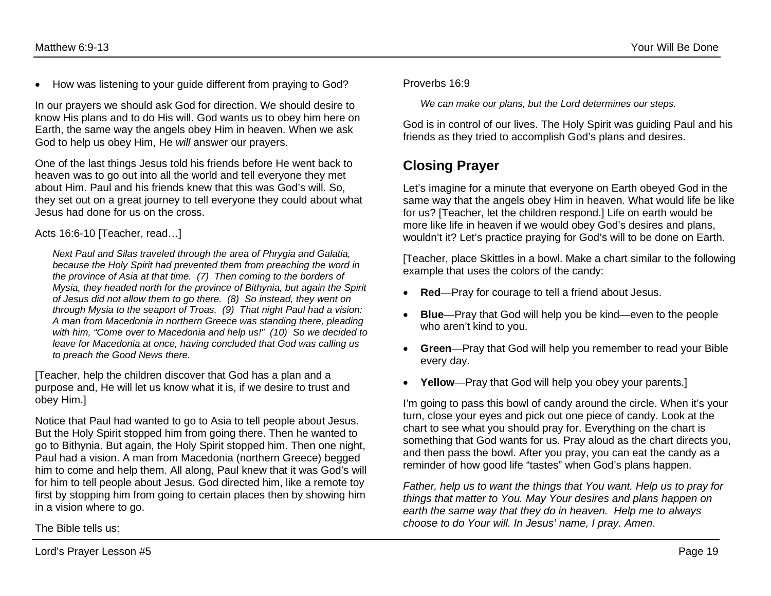• How was listening to your guide different from praying to God?

In our prayers we should ask God for direction. We should desire to know His plans and to do His will. God wants us to obey him here on Earth, the same way the angels obey Him in heaven. When we ask God to help us obey Him, He *will* answer our prayers.

One of the last things Jesus told his friends before He went back to heaven was to go out into all the world and tell everyone they met about Him. Paul and his friends knew that this was God's will. So, they set out on a great journey to tell everyone they could about what Jesus had done for us on the cross.

#### Acts 16:6-10 [Teacher, read…]

*Next Paul and Silas traveled through the area of Phrygia and Galatia, because the Holy Spirit had prevented them from preaching the word in the province of Asia at that time. (7) Then coming to the borders of Mysia, they headed north for the province of Bithynia, but again the Spirit of Jesus did not allow them to go there. (8) So instead, they went on through Mysia to the seaport of Troas. (9) That night Paul had a vision: A man from Macedonia in northern Greece was standing there, pleading with him, "Come over to Macedonia and help us!" (10) So we decided to leave for Macedonia at once, having concluded that God was calling us to preach the Good News there.*

[Teacher, help the children discover that God has a plan and a purpose and, He will let us know what it is, if we desire to trust and obey Him.]

Notice that Paul had wanted to go to Asia to tell people about Jesus. But the Holy Spirit stopped him from going there. Then he wanted to go to Bithynia. But again, the Holy Spirit stopped him. Then one night, Paul had a vision. A man from Macedonia (northern Greece) begged him to come and help them. All along, Paul knew that it was God's will for him to tell people about Jesus. God directed him, like a remote toy first by stopping him from going to certain places then by showing him in a vision where to go.

Proverbs 16:9

*We can make our plans, but the Lord determines our steps.*

God is in control of our lives. The Holy Spirit was guiding Paul and his friends as they tried to accomplish God's plans and desires.

## **Closing Prayer**

Let's imagine for a minute that everyone on Earth obeyed God in the same way that the angels obey Him in heaven. What would life be like for us? [Teacher, let the children respond.] Life on earth would be more like life in heaven if we would obey God's desires and plans, wouldn't it? Let's practice praying for God's will to be done on Earth.

[Teacher, place Skittles in a bowl. Make a chart similar to the following example that uses the colors of the candy:

- **Red**—Pray for courage to tell a friend about Jesus.
- **Blue**—Pray that God will help you be kind—even to the people who aren't kind to you.
- **Green**—Pray that God will help you remember to read your Bible every day.
- Yellow—Pray that God will help you obey your parents.]

I'm going to pass this bowl of candy around the circle. When it's your turn, close your eyes and pick out one piece of candy. Look at the chart to see what you should pray for. Everything on the chart is something that God wants for us. Pray aloud as the chart directs you, and then pass the bowl. After you pray, you can eat the candy as a reminder of how good life "tastes" when God's plans happen.

*Father, help us to want the things that You want. Help us to pray for things that matter to You. May Your desires and plans happen on earth the same way that they do in heaven. Help me to always choose to do Your will. In Jesus' name, I pray. Amen*.

The Bible tells us: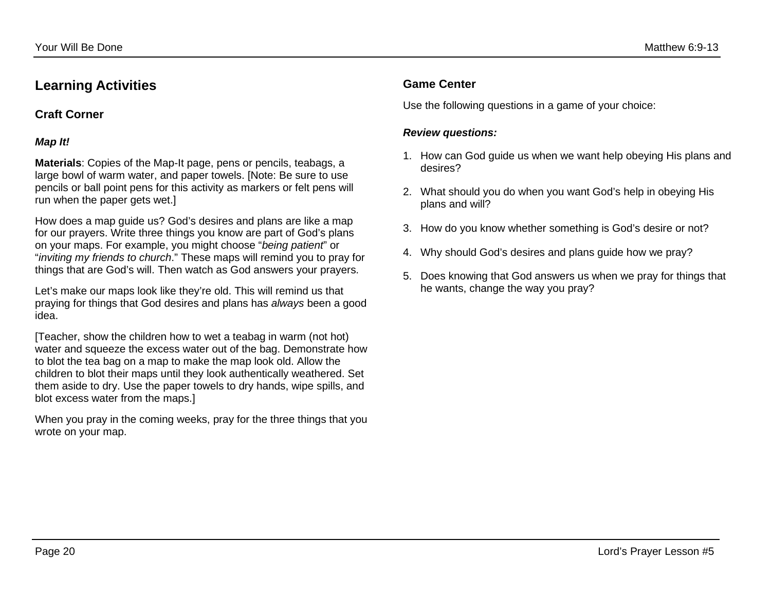## **Learning Activities**

#### **Craft Corner**

#### *Map It!*

**Materials**: Copies of the Map-It page, pens or pencils, teabags, a large bowl of warm water, and paper towels. [Note: Be sure to use pencils or ball point pens for this activity as markers or felt pens will run when the paper gets wet.]

How does a map guide us? God's desires and plans are like a map for our prayers. Write three things you know are part of God's plans on your maps. For example, you might choose "*being patient*" or "*inviting my friends to church*." These maps will remind you to pray for things that are God's will. Then watch as God answers your prayers.

Let's make our maps look like they're old. This will remind us that praying for things that God desires and plans has *always* been a good idea.

[Teacher, show the children how to wet a teabag in warm (not hot) water and squeeze the excess water out of the bag. Demonstrate how to blot the tea bag on a map to make the map look old. Allow the children to blot their maps until they look authentically weathered. Set them aside to dry. Use the paper towels to dry hands, wipe spills, and blot excess water from the maps.]

When you pray in the coming weeks, pray for the three things that you wrote on your map.

#### **Game Center**

Use the following questions in a game of your choice:

#### *Review questions:*

- 1. How can God guide us when we want help obeying His plans and desires?
- 2. What should you do when you want God's help in obeying His plans and will?
- 3. How do you know whether something is God's desire or not?
- 4. Why should God's desires and plans guide how we pray?
- 5. Does knowing that God answers us when we pray for things that he wants, change the way you pray?